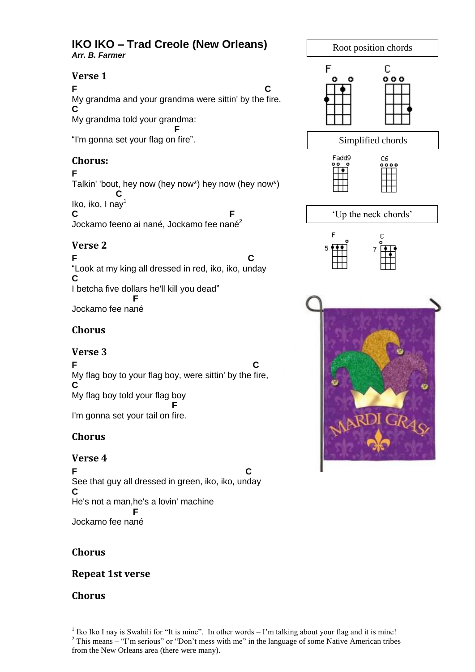#### **IKO IKO – Trad Creole (New Orleans)** *Arr. B. Farmer*

### **Verse 1**

**F C** My grandma and your grandma were sittin' by the fire. **C** My grandma told your grandma:  **F** "I'm gonna set your flag on fire".

# **Chorus:**

### **F**

Talkin' 'bout, hey now (hey now\*) hey now (hey now\*)  **C** Iko, iko, I nav $<sup>1</sup>$ </sup> **C** F

Jockamo feeno ai nané, Jockamo fee nané<sup>2</sup>

# **Verse 2**

**F C** "Look at my king all dressed in red, iko, iko, unday **C** I betcha five dollars he'll kill you dead"  **F** Jockamo fee nané

# **Chorus**

# **Verse 3**

**F C** My flag boy to your flag boy, were sittin' by the fire, **C** My flag boy told your flag boy **F** I'm gonna set your tail on fire.

# **Chorus**

# **Verse 4**

**F C** See that guy all dressed in green, iko, iko, unday **C** He's not a man,he's a lovin' machine  **F** Jockamo fee nané

# **Chorus**

**Repeat 1st verse**

# **Chorus**

Root position chords F C  $000$ Simplified chords Fadd9 C6 "Up the neck chords"

<sup>1</sup> <sup>1</sup> Iko Iko I nay is Swahili for "It is mine". In other words  $-1$ 'm talking about your flag and it is mine! <sup>2</sup> This means – "I'm serious" or "Don't mess with me" in the language of some Native American tribes from the New Orleans area (there were many).